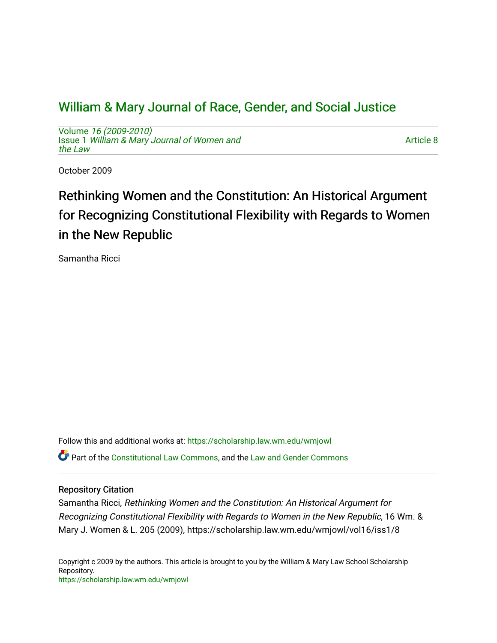# [William & Mary Journal of Race, Gender, and Social Justice](https://scholarship.law.wm.edu/wmjowl)

Volume [16 \(2009-2010\)](https://scholarship.law.wm.edu/wmjowl/vol16)  Issue 1 [William & Mary Journal of Women and](https://scholarship.law.wm.edu/wmjowl/vol16/iss1) [the Law](https://scholarship.law.wm.edu/wmjowl/vol16/iss1)

[Article 8](https://scholarship.law.wm.edu/wmjowl/vol16/iss1/8) 

October 2009

# Rethinking Women and the Constitution: An Historical Argument for Recognizing Constitutional Flexibility with Regards to Women in the New Republic

Samantha Ricci

Follow this and additional works at: [https://scholarship.law.wm.edu/wmjowl](https://scholarship.law.wm.edu/wmjowl?utm_source=scholarship.law.wm.edu%2Fwmjowl%2Fvol16%2Fiss1%2F8&utm_medium=PDF&utm_campaign=PDFCoverPages)  Part of the [Constitutional Law Commons,](http://network.bepress.com/hgg/discipline/589?utm_source=scholarship.law.wm.edu%2Fwmjowl%2Fvol16%2Fiss1%2F8&utm_medium=PDF&utm_campaign=PDFCoverPages) and the [Law and Gender Commons](http://network.bepress.com/hgg/discipline/1298?utm_source=scholarship.law.wm.edu%2Fwmjowl%2Fvol16%2Fiss1%2F8&utm_medium=PDF&utm_campaign=PDFCoverPages)

# Repository Citation

Samantha Ricci, Rethinking Women and the Constitution: An Historical Argument for Recognizing Constitutional Flexibility with Regards to Women in the New Republic, 16 Wm. & Mary J. Women & L. 205 (2009), https://scholarship.law.wm.edu/wmjowl/vol16/iss1/8

Copyright c 2009 by the authors. This article is brought to you by the William & Mary Law School Scholarship Repository. <https://scholarship.law.wm.edu/wmjowl>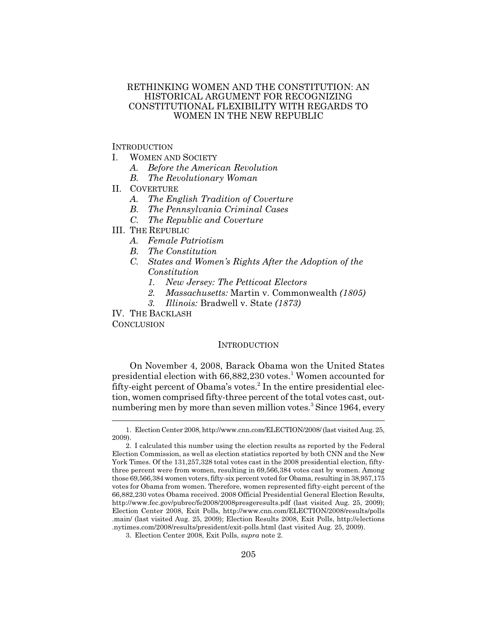## RETHINKING WOMEN AND THE CONSTITUTION: AN HISTORICAL ARGUMENT FOR RECOGNIZING CONSTITUTIONAL FLEXIBILITY WITH REGARDS TO WOMEN IN THE NEW REPUBLIC

### **INTRODUCTION**

- I. WOMEN AND SOCIETY
	- *A. Before the American Revolution*
	- *B. The Revolutionary Woman*
- II. COVERTURE
	- *A. The English Tradition of Coverture*
	- *B. The Pennsylvania Criminal Cases*
	- *C. The Republic and Coverture*
- III. THE REPUBLIC
	- *A. Female Patriotism*
	- *B. The Constitution*
	- *C. States and Women's Rights After the Adoption of the Constitution*
		- *1. New Jersey: The Petticoat Electors*
		- *2. Massachusetts:* Martin v. Commonwealth *(1805)*
		- *3. Illinois:* Bradwell v. State *(1873)*

IV. THE BACKLASH

**CONCLUSION** 

#### **INTRODUCTION**

On November 4, 2008, Barack Obama won the United States presidential election with  $66,882,230$  votes.<sup>1</sup> Women accounted for fifty-eight percent of Obama's votes.<sup>2</sup> In the entire presidential election, women comprised fifty-three percent of the total votes cast, outnumbering men by more than seven million votes.<sup>3</sup> Since 1964, every

<sup>1.</sup> Election Center 2008, http://www.cnn.com/ELECTION/2008/ (last visited Aug. 25, 2009).

<sup>2.</sup> I calculated this number using the election results as reported by the Federal Election Commission, as well as election statistics reported by both CNN and the New York Times. Of the 131,257,328 total votes cast in the 2008 presidential election, fiftythree percent were from women, resulting in 69,566,384 votes cast by women. Among those 69,566,384 women voters, fifty-six percent voted for Obama, resulting in 38,957,175 votes for Obama from women. Therefore, women represented fifty-eight percent of the 66,882,230 votes Obama received. 2008 Official Presidential General Election Results, http://www.fec.gov/pubrec/fe2008/2008presgeresults.pdf (last visited Aug. 25, 2009); Election Center 2008, Exit Polls, http://www.cnn.com/ELECTION/2008/results/polls .main/ (last visited Aug. 25, 2009); Election Results 2008, Exit Polls, http://elections .nytimes.com/2008/results/president/exit-polls.html (last visited Aug. 25, 2009).

<sup>3.</sup> Election Center 2008, Exit Polls, *supra* note 2.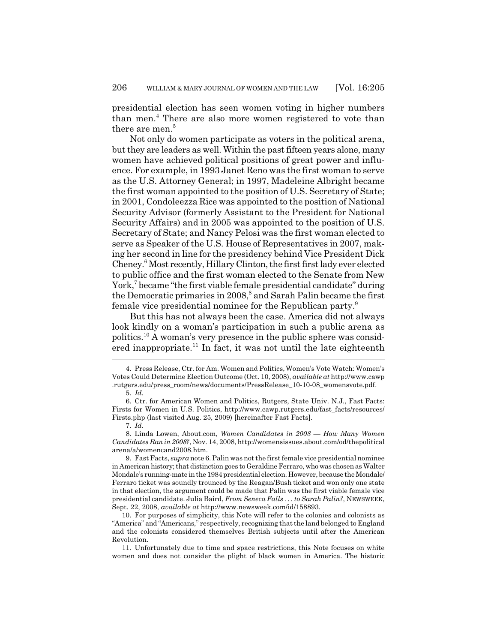presidential election has seen women voting in higher numbers than men.<sup>4</sup> There are also more women registered to vote than there are men.<sup>5</sup>

Not only do women participate as voters in the political arena, but they are leaders as well. Within the past fifteen years alone, many women have achieved political positions of great power and influence. For example, in 1993 Janet Reno was the first woman to serve as the U.S. Attorney General; in 1997, Madeleine Albright became the first woman appointed to the position of U.S. Secretary of State; in 2001, Condoleezza Rice was appointed to the position of National Security Advisor (formerly Assistant to the President for National Security Affairs) and in 2005 was appointed to the position of U.S. Secretary of State; and Nancy Pelosi was the first woman elected to serve as Speaker of the U.S. House of Representatives in 2007, making her second in line for the presidency behind Vice President Dick Cheney.6 Most recently, Hillary Clinton, the first first lady ever elected to public office and the first woman elected to the Senate from New York,<sup>7</sup> became "the first viable female presidential candidate" during the Democratic primaries in 2008,<sup>8</sup> and Sarah Palin became the first female vice presidential nominee for the Republican party.<sup>9</sup>

But this has not always been the case. America did not always look kindly on a woman's participation in such a public arena as politics.10 A woman's very presence in the public sphere was considered inappropriate.<sup>11</sup> In fact, it was not until the late eighteenth

<sup>4.</sup> Press Release, Ctr. for Am. Women and Politics,Women's Vote Watch: Women's Votes Could Determine Election Outcome (Oct. 10, 2008), *available at* http://www.cawp .rutgers.edu/press\_room/news/documents/PressRelease\_10-10-08\_womensvote.pdf.

<sup>5.</sup> *Id.*

<sup>6.</sup> Ctr. for American Women and Politics, Rutgers, State Univ. N.J., Fast Facts: Firsts for Women in U.S. Politics, http://www.cawp.rutgers.edu/fast\_facts/resources/ Firsts.php (last visited Aug. 25, 2009) [hereinafter Fast Facts].

<sup>7.</sup> *Id.*

<sup>8.</sup> Linda Lowen, About.com, *Women Candidates in 2008 — How Many Women Candidates Ran in 2008?*, Nov. 14, 2008, http://womensissues.about.com/od/thepolitical arena/a/womencand2008.htm.

<sup>9.</sup> Fast Facts, *supra* note 6. Palin was not the first female vice presidential nominee in American history; that distinction goes to Geraldine Ferraro, who was chosen as Walter Mondale's running-mate in the 1984 presidential election. However, because the Mondale/ Ferraro ticket was soundly trounced by the Reagan/Bush ticket and won only one state in that election, the argument could be made that Palin was the first viable female vice presidential candidate. Julia Baird, *From Seneca Falls . . . to Sarah Palin?*, NEWSWEEK, Sept. 22, 2008, *available at* http://www.newsweek.com/id/158893.

<sup>10.</sup> For purposes of simplicity, this Note will refer to the colonies and colonists as "America" and "Americans," respectively, recognizing that the land belonged to England and the colonists considered themselves British subjects until after the American Revolution.

<sup>11.</sup> Unfortunately due to time and space restrictions, this Note focuses on white women and does not consider the plight of black women in America. The historic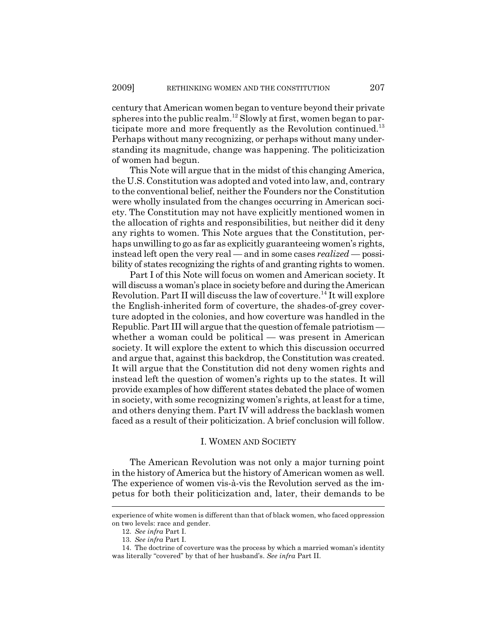century that American women began to venture beyond their private spheres into the public realm.<sup>12</sup> Slowly at first, women began to participate more and more frequently as the Revolution continued.<sup>13</sup> Perhaps without many recognizing, or perhaps without many understanding its magnitude, change was happening. The politicization of women had begun.

This Note will argue that in the midst of this changing America, the U.S. Constitution was adopted and voted into law, and, contrary to the conventional belief, neither the Founders nor the Constitution were wholly insulated from the changes occurring in American society. The Constitution may not have explicitly mentioned women in the allocation of rights and responsibilities, but neither did it deny any rights to women. This Note argues that the Constitution, perhaps unwilling to go as far as explicitly guaranteeing women's rights, instead left open the very real — and in some cases *realized* — possibility of states recognizing the rights of and granting rights to women.

Part I of this Note will focus on women and American society. It will discuss a woman's place in society before and during the American Revolution. Part II will discuss the law of coverture.<sup>14</sup> It will explore the English-inherited form of coverture, the shades-of-grey coverture adopted in the colonies, and how coverture was handled in the Republic. Part III will argue that the question of female patriotism whether a woman could be political — was present in American society. It will explore the extent to which this discussion occurred and argue that, against this backdrop, the Constitution was created. It will argue that the Constitution did not deny women rights and instead left the question of women's rights up to the states. It will provide examples of how different states debated the place of women in society, with some recognizing women's rights, at least for a time, and others denying them. Part IV will address the backlash women faced as a result of their politicization. A brief conclusion will follow.

#### I. WOMEN AND SOCIETY

The American Revolution was not only a major turning point in the history of America but the history of American women as well. The experience of women vis-à-vis the Revolution served as the impetus for both their politicization and, later, their demands to be

experience of white women is different than that of black women, who faced oppression on two levels: race and gender.

<sup>12.</sup> *See infra* Part I.

<sup>13.</sup> *See infra* Part I.

<sup>14.</sup> The doctrine of coverture was the process by which a married woman's identity was literally "covered" by that of her husband's. *See infra* Part II.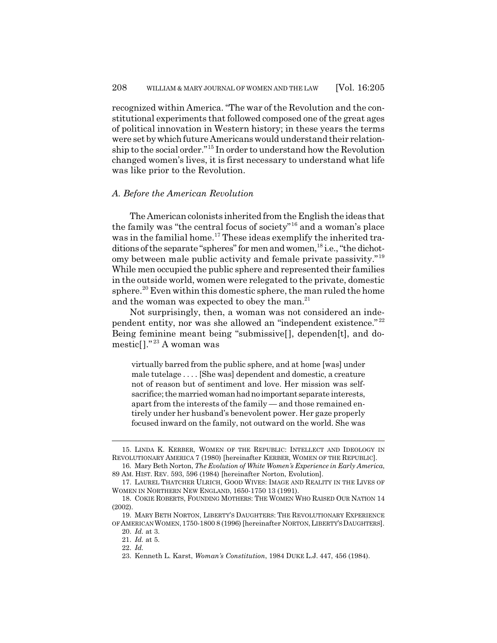recognized within America. "The war of the Revolution and the constitutional experiments that followed composed one of the great ages of political innovation in Western history; in these years the terms were set by which future Americans would understand their relationship to the social order."15 In order to understand how the Revolution changed women's lives, it is first necessary to understand what life was like prior to the Revolution.

#### *A. Before the American Revolution*

The American colonists inherited from the English the ideas that the family was "the central focus of society"16 and a woman's place was in the familial home.<sup>17</sup> These ideas exemplify the inherited traditions of the separate "spheres" for men and women,<sup>18</sup> i.e., "the dichotomy between male public activity and female private passivity."<sup>19</sup> While men occupied the public sphere and represented their families in the outside world, women were relegated to the private, domestic sphere.<sup>20</sup> Even within this domestic sphere, the man ruled the home and the woman was expected to obey the man.<sup>21</sup>

Not surprisingly, then, a woman was not considered an independent entity, nor was she allowed an "independent existence." <sup>22</sup> Being feminine meant being "submissive[], dependen[t], and domestic[]." 23 A woman was

virtually barred from the public sphere, and at home [was] under male tutelage . . . . [She was] dependent and domestic, a creature not of reason but of sentiment and love. Her mission was selfsacrifice; the married woman had no important separate interests, apart from the interests of the family — and those remained entirely under her husband's benevolent power. Her gaze properly focused inward on the family, not outward on the world. She was

<sup>15.</sup> LINDA K. KERBER, WOMEN OF THE REPUBLIC: INTELLECT AND IDEOLOGY IN REVOLUTIONARY AMERICA 7 (1980) [hereinafter KERBER, WOMEN OF THE REPUBLIC].

<sup>16.</sup> Mary Beth Norton, *The Evolution of White Women's Experience in Early America*, 89 AM. HIST. REV. 593, 596 (1984) [hereinafter Norton, Evolution].

<sup>17.</sup> LAUREL THATCHER ULRICH, GOOD WIVES: IMAGE AND REALITY IN THE LIVES OF WOMEN IN NORTHERN NEW ENGLAND, 1650-1750 13 (1991).

<sup>18.</sup> COKIE ROBERTS, FOUNDING MOTHERS: THE WOMEN WHO RAISED OUR NATION 14 (2002).

<sup>19.</sup> MARY BETH NORTON, LIBERTY'S DAUGHTERS: THE REVOLUTIONARY EXPERIENCE OF AMERICAN WOMEN,1750-1800 8 (1996) [hereinafter NORTON,LIBERTY'S DAUGHTERS].

<sup>20.</sup> *Id.* at 3.

<sup>21.</sup> *Id.* at 5. 22. *Id.*

<sup>23.</sup> Kenneth L. Karst, *Woman's Constitution*, 1984 DUKE L.J. 447, 456 (1984).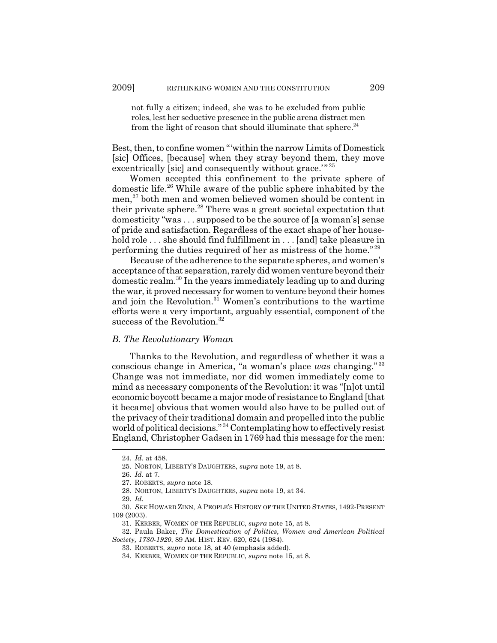not fully a citizen; indeed, she was to be excluded from public roles, lest her seductive presence in the public arena distract men from the light of reason that should illuminate that sphere. $^{24}$ 

Best, then, to confine women "'within the narrow Limits of Domestick [sic] Offices, [because] when they stray beyond them, they move excentrically [sic] and consequently without grace."<sup>25</sup>

Women accepted this confinement to the private sphere of domestic life.26 While aware of the public sphere inhabited by the men,<sup>27</sup> both men and women believed women should be content in their private sphere.<sup>28</sup> There was a great societal expectation that domesticity "was . . . supposed to be the source of [a woman's] sense of pride and satisfaction. Regardless of the exact shape of her household role ... she should find fulfillment in ... [and] take pleasure in performing the duties required of her as mistress of the home." <sup>29</sup>

Because of the adherence to the separate spheres, and women's acceptance of that separation, rarely did women venture beyond their domestic realm.30 In the years immediately leading up to and during the war, it proved necessary for women to venture beyond their homes and join the Revolution.<sup>31</sup> Women's contributions to the wartime efforts were a very important, arguably essential, component of the success of the Revolution.<sup>32</sup>

#### *B. The Revolutionary Woman*

Thanks to the Revolution, and regardless of whether it was a conscious change in America, "a woman's place *was* changing." <sup>33</sup> Change was not immediate, nor did women immediately come to mind as necessary components of the Revolution: it was "[n]ot until economic boycott became a major mode of resistance to England [that it became] obvious that women would also have to be pulled out of the privacy of their traditional domain and propelled into the public world of political decisions." 34 Contemplating how to effectively resist England, Christopher Gadsen in 1769 had this message for the men:

<sup>24.</sup> *Id.* at 458.

<sup>25.</sup> NORTON, LIBERTY'S DAUGHTERS, *supra* note 19, at 8.

<sup>26.</sup> *Id.* at 7.

<sup>27.</sup> ROBERTS, *supra* note 18.

<sup>28.</sup> NORTON, LIBERTY'S DAUGHTERS, *supra* note 19, at 34.

<sup>29.</sup> *Id.*

<sup>30.</sup> *SEE* HOWARD ZINN, A PEOPLE'S HISTORY OF THE UNITED STATES, 1492-PRESENT 109 (2003).

<sup>31.</sup> KERBER, WOMEN OF THE REPUBLIC, *supra* note 15, at 8.

<sup>32.</sup> Paula Baker, *The Domestication of Politics, Women and American Political Society, 1780-1920*, 89 AM. HIST. REV. 620, 624 (1984).

<sup>33.</sup> ROBERTS, *supra* note 18, at 40 (emphasis added).

<sup>34.</sup> KERBER, WOMEN OF THE REPUBLIC, *supra* note 15, at 8.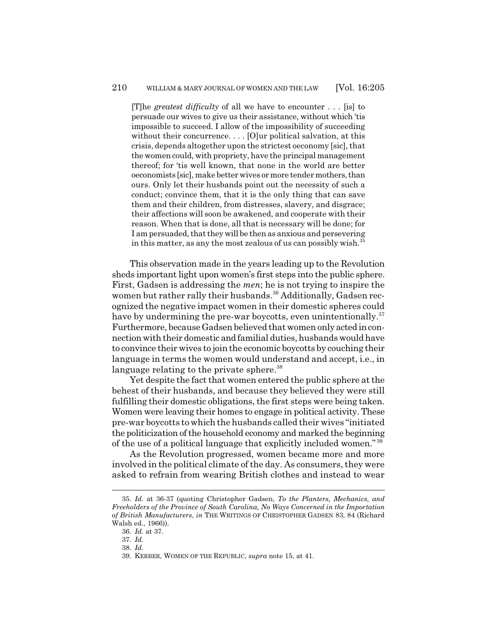[T]he *greatest difficulty* of all we have to encounter . . . [is] to persuade our wives to give us their assistance, without which 'tis impossible to succeed. I allow of the impossibility of succeeding without their concurrence. . . . [O]ur political salvation, at this crisis, depends altogether upon the strictest oeconomy [sic], that the women could, with propriety, have the principal management thereof; for 'tis well known, that none in the world are better oeconomists [sic], make better wives or more tender mothers, than ours. Only let their husbands point out the necessity of such a conduct; convince them, that it is the only thing that can save them and their children, from distresses, slavery, and disgrace; their affections will soon be awakened, and cooperate with their reason. When that is done, all that is necessary will be done; for I am persuaded, that they will be then as anxious and persevering in this matter, as any the most zealous of us can possibly wish.<sup>35</sup>

This observation made in the years leading up to the Revolution sheds important light upon women's first steps into the public sphere. First, Gadsen is addressing the *men*; he is not trying to inspire the women but rather rally their husbands.<sup>36</sup> Additionally, Gadsen recognized the negative impact women in their domestic spheres could have by undermining the pre-war boycotts, even unintentionally.<sup>37</sup> Furthermore, because Gadsen believed that women only acted in connection with their domestic and familial duties, husbands would have to convince their wives to join the economic boycotts by couching their language in terms the women would understand and accept, i.e., in language relating to the private sphere.<sup>38</sup>

Yet despite the fact that women entered the public sphere at the behest of their husbands, and because they believed they were still fulfilling their domestic obligations, the first steps were being taken. Women were leaving their homes to engage in political activity. These pre-war boycotts to which the husbands called their wives "initiated the politicization of the household economy and marked the beginning of the use of a political language that explicitly included women." <sup>39</sup>

As the Revolution progressed, women became more and more involved in the political climate of the day. As consumers, they were asked to refrain from wearing British clothes and instead to wear

<sup>35.</sup> *Id.* at 36-37 (quoting Christopher Gadsen, *To the Planters, Mechanics, and Freeholders of the Province of South Carolina, No Ways Concerned in the Importation of British Manufacturers*, *in* THE WRITINGS OF CHRISTOPHER GADSEN 83, 84 (Richard Walsh ed., 1966)).

<sup>36.</sup> *Id.* at 37.

<sup>37.</sup> *Id.*

<sup>38.</sup> *Id.*

<sup>39.</sup> KERBER, WOMEN OF THE REPUBLIC, *supra* note 15, at 41.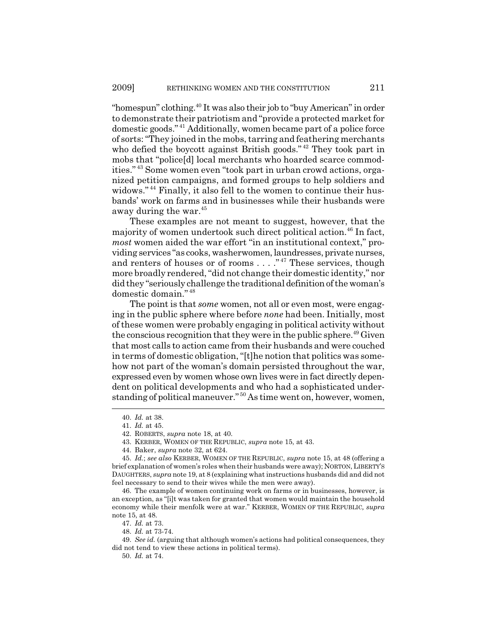"homespun" clothing.<sup>40</sup> It was also their job to "buy American" in order to demonstrate their patriotism and "provide a protected market for domestic goods." 41 Additionally, women became part of a police force of sorts: "They joined in the mobs, tarring and feathering merchants who defied the boycott against British goods."<sup>42</sup> They took part in mobs that "police[d] local merchants who hoarded scarce commodities." 43 Some women even "took part in urban crowd actions, organized petition campaigns, and formed groups to help soldiers and widows." 44 Finally, it also fell to the women to continue their husbands' work on farms and in businesses while their husbands were away during the war.<sup>45</sup>

These examples are not meant to suggest, however, that the majority of women undertook such direct political action.<sup>46</sup> In fact, *most* women aided the war effort "in an institutional context," providing services "as cooks, washerwomen, laundresses, private nurses, and renters of houses or of rooms . . . . "<sup>47</sup> These services, though more broadly rendered, "did not change their domestic identity," nor did they "seriously challenge the traditional definition of the woman's domestic domain." <sup>48</sup>

The point is that *some* women, not all or even most, were engaging in the public sphere where before *none* had been. Initially, most of these women were probably engaging in political activity without the conscious recognition that they were in the public sphere.<sup> $49$ </sup> Given that most calls to action came from their husbands and were couched in terms of domestic obligation, "[t]he notion that politics was somehow not part of the woman's domain persisted throughout the war, expressed even by women whose own lives were in fact directly dependent on political developments and who had a sophisticated understanding of political maneuver."<sup>50</sup> As time went on, however, women,

<sup>40.</sup> *Id.* at 38.

<sup>41.</sup> *Id.* at 45.

<sup>42.</sup> ROBERTS, *supra* note 18, at 40.

<sup>43.</sup> KERBER, WOMEN OF THE REPUBLIC, *supra* note 15, at 43.

<sup>44.</sup> Baker, *supra* note 32, at 624.

<sup>45.</sup> *Id.*; *see also* KERBER, WOMEN OF THE REPUBLIC, *supra* note 15, at 48 (offering a brief explanation of women's roles when their husbands were away); NORTON, LIBERTY'S DAUGHTERS, *supra* note 19, at 8 (explaining what instructions husbands did and did not feel necessary to send to their wives while the men were away).

<sup>46.</sup> The example of women continuing work on farms or in businesses, however, is an exception, as "[i]t was taken for granted that women would maintain the household economy while their menfolk were at war." KERBER, WOMEN OF THE REPUBLIC*, supra* note 15, at 48.

<sup>47.</sup> *Id.* at 73.

<sup>48.</sup> *Id.* at 73-74.

<sup>49.</sup> *See id.* (arguing that although women's actions had political consequences, they did not tend to view these actions in political terms).

<sup>50.</sup> *Id.* at 74.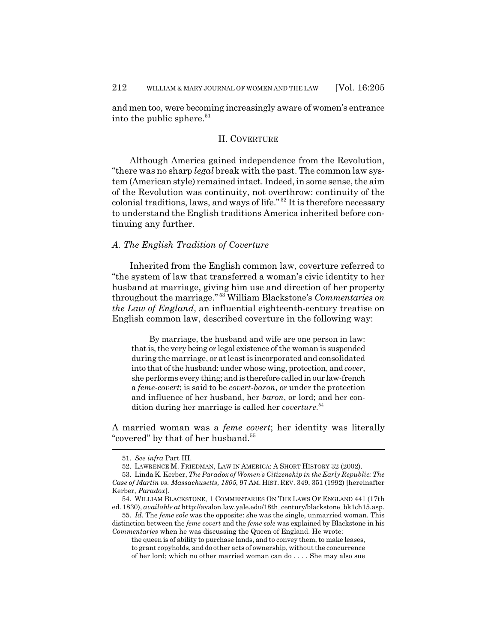and men too, were becoming increasingly aware of women's entrance into the public sphere. $51$ 

#### II. COVERTURE

Although America gained independence from the Revolution, "there was no sharp *legal* break with the past. The common law system (American style) remained intact. Indeed, in some sense, the aim of the Revolution was continuity, not overthrow: continuity of the colonial traditions, laws, and ways of life." 52 It is therefore necessary to understand the English traditions America inherited before continuing any further.

#### *A. The English Tradition of Coverture*

Inherited from the English common law, coverture referred to "the system of law that transferred a woman's civic identity to her husband at marriage, giving him use and direction of her property throughout the marriage." 53 William Blackstone's *Commentaries on the Law of England*, an influential eighteenth-century treatise on English common law, described coverture in the following way:

By marriage, the husband and wife are one person in law: that is, the very being or legal existence of the woman is suspended during the marriage, or at least is incorporated and consolidated into that of the husband: under whose wing, protection, and *cover*, she performs every thing; and is therefore called in our law-french a *feme-covert*; is said to be *covert-baron*, or under the protection and influence of her husband, her *baron*, or lord; and her condition during her marriage is called her *coverture*. 54

A married woman was a *feme covert*; her identity was literally "covered" by that of her husband.<sup>55</sup>

<sup>51.</sup> *See infra* Part III.

<sup>52.</sup> LAWRENCE M. FRIEDMAN, LAW IN AMERICA: A SHORT HISTORY 32 (2002).

<sup>53.</sup> Linda K. Kerber, *The Paradox of Women's Citizenship in the Early Republic: The Case of Martin vs. Massachusetts, 1805*, 97 AM. HIST. REV. 349, 351 (1992) [hereinafter Kerber, *Paradox*].

<sup>54.</sup> WILLIAM BLACKSTONE, 1 COMMENTARIES ON THE LAWS OF ENGLAND 441 (17th ed. 1830), *available at* http://avalon.law.yale.edu/18th\_century/blackstone\_bk1ch15.asp.

<sup>55.</sup> *Id.* The *feme sole* was the opposite: she was the single, unmarried woman. This distinction between the *feme covert* and the *feme sole* was explained by Blackstone in his *Commentaries* when he was discussing the Queen of England. He wrote:

the queen is of ability to purchase lands, and to convey them, to make leases, to grant copyholds, and do other acts of ownership, without the concurrence of her lord; which no other married woman can do . . . . She may also sue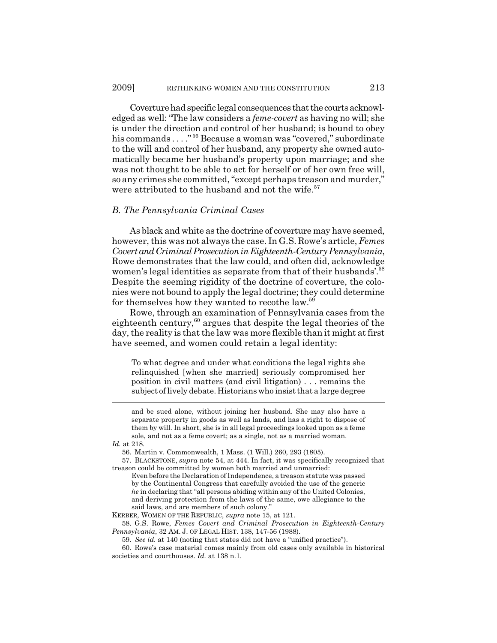Coverture had specific legal consequences that the courts acknowledged as well: "The law considers a *feme-covert* as having no will; she is under the direction and control of her husband; is bound to obey his commands . . . . "<sup>56</sup> Because a woman was "covered," subordinate to the will and control of her husband, any property she owned automatically became her husband's property upon marriage; and she was not thought to be able to act for herself or of her own free will, so any crimes she committed, "except perhaps treason and murder," were attributed to the husband and not the wife.<sup>57</sup>

#### *B. The Pennsylvania Criminal Cases*

As black and white as the doctrine of coverture may have seemed, however, this was not always the case. In G.S. Rowe's article, *Femes Covert and Criminal Prosecution in Eighteenth-Century Pennsylvania*, Rowe demonstrates that the law could, and often did, acknowledge women's legal identities as separate from that of their husbands'.<sup>58</sup> Despite the seeming rigidity of the doctrine of coverture, the colonies were not bound to apply the legal doctrine; they could determine for themselves how they wanted to recothe law.59

Rowe, through an examination of Pennsylvania cases from the eighteenth century, $60$  argues that despite the legal theories of the day, the reality is that the law was more flexible than it might at first have seemed, and women could retain a legal identity:

To what degree and under what conditions the legal rights she relinquished [when she married] seriously compromised her position in civil matters (and civil litigation) . . . remains the subject of lively debate. Historians who insist that a large degree

KERBER, WOMEN OF THE REPUBLIC, *supra* note 15, at 121.

58. G.S. Rowe, *Femes Covert and Criminal Prosecution in Eighteenth-Century Pennsylvania*, 32 AM. J. OF LEGAL HIST. 138, 147-56 (1988).

59. *See id.* at 140 (noting that states did not have a "unified practice").

and be sued alone, without joining her husband. She may also have a separate property in goods as well as lands, and has a right to dispose of them by will. In short, she is in all legal proceedings looked upon as a feme sole, and not as a feme covert; as a single, not as a married woman.

*Id.* at 218.

<sup>56.</sup> Martin v. Commonwealth, 1 Mass. (1 Will.) 260, 293 (1805).

<sup>57.</sup> BLACKSTONE, *supra* note 54, at 444. In fact, it was specifically recognized that treason could be committed by women both married and unmarried:

Even before the Declaration of Independence, a treason statute was passed by the Continental Congress that carefully avoided the use of the generic *he* in declaring that "all persons abiding within any of the United Colonies, and deriving protection from the laws of the same, owe allegiance to the said laws, and are members of such colony."

<sup>60.</sup> Rowe's case material comes mainly from old cases only available in historical societies and courthouses. *Id.* at 138 n.1.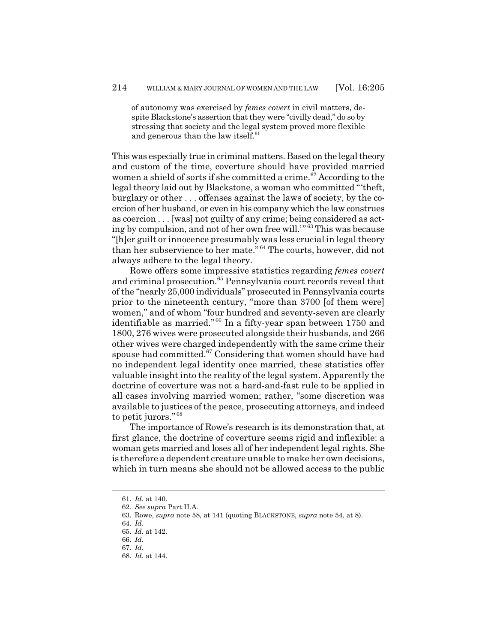of autonomy was exercised by *femes covert* in civil matters, despite Blackstone's assertion that they were "civilly dead," do so by stressing that society and the legal system proved more flexible and generous than the law itself.<sup>61</sup>

This was especially true in criminal matters. Based on the legal theory and custom of the time, coverture should have provided married women a shield of sorts if she committed a crime. $62$  According to the legal theory laid out by Blackstone, a woman who committed "'theft, burglary or other . . . offenses against the laws of society, by the coercion of her husband, or even in his company which the law construes as coercion . . . [was] not guilty of any crime; being considered as acting by compulsion, and not of her own free will.'" 63 This was because "[h]er guilt or innocence presumably was less crucial in legal theory than her subservience to her mate." 64 The courts, however, did not always adhere to the legal theory.

Rowe offers some impressive statistics regarding *femes covert* and criminal prosecution.<sup>65</sup> Pennsylvania court records reveal that of the "nearly 25,000 individuals" prosecuted in Pennsylvania courts prior to the nineteenth century, "more than 3700 [of them were] women," and of whom "four hundred and seventy-seven are clearly identifiable as married." 66 In a fifty-year span between 1750 and 1800, 276 wives were prosecuted alongside their husbands, and 266 other wives were charged independently with the same crime their spouse had committed. $67$  Considering that women should have had no independent legal identity once married, these statistics offer valuable insight into the reality of the legal system. Apparently the doctrine of coverture was not a hard-and-fast rule to be applied in all cases involving married women; rather, "some discretion was available to justices of the peace, prosecuting attorneys, and indeed to petit jurors." <sup>68</sup>

The importance of Rowe's research is its demonstration that, at first glance, the doctrine of coverture seems rigid and inflexible: a woman gets married and loses all of her independent legal rights. She is therefore a dependent creature unable to make her own decisions, which in turn means she should not be allowed access to the public

<sup>61.</sup> *Id.* at 140.

<sup>62.</sup> *See supra* Part II.A.

<sup>63.</sup> Rowe, *supra* note 58, at 141 (quoting BLACKSTONE, *supra* note 54, at 8).

<sup>64.</sup> *Id.*

<sup>65.</sup> *Id.* at 142.

<sup>66.</sup> *Id.*

<sup>67.</sup> *Id.*

<sup>68.</sup> *Id.* at 144.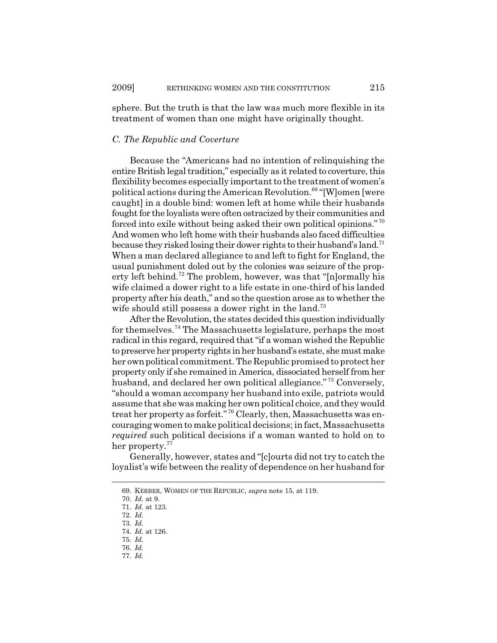sphere. But the truth is that the law was much more flexible in its treatment of women than one might have originally thought.

#### *C. The Republic and Coverture*

Because the "Americans had no intention of relinquishing the entire British legal tradition," especially as it related to coverture, this flexibility becomes especially important to the treatment of women's political actions during the American Revolution.<sup>69</sup> "[W]omen [were caught] in a double bind: women left at home while their husbands fought for the loyalists were often ostracized by their communities and forced into exile without being asked their own political opinions." <sup>70</sup> And women who left home with their husbands also faced difficulties because they risked losing their dower rights to their husband's land.71 When a man declared allegiance to and left to fight for England, the usual punishment doled out by the colonies was seizure of the property left behind.<sup>72</sup> The problem, however, was that "[n]ormally his wife claimed a dower right to a life estate in one-third of his landed property after his death," and so the question arose as to whether the wife should still possess a dower right in the land.<sup>73</sup>

After the Revolution, the states decided this question individually for themselves.<sup>74</sup> The Massachusetts legislature, perhaps the most radical in this regard, required that "if a woman wished the Republic to preserve her property rights in her husband's estate, she must make her own political commitment. The Republic promised to protect her property only if she remained in America, dissociated herself from her husband, and declared her own political allegiance."<sup>75</sup> Conversely, "should a woman accompany her husband into exile, patriots would assume that she was making her own political choice, and they would treat her property as forfeit."<sup>76</sup> Clearly, then, Massachusetts was encouraging women to make political decisions; in fact, Massachusetts *required* such political decisions if a woman wanted to hold on to her property.<sup>77</sup>

Generally, however, states and "[c]ourts did not try to catch the loyalist's wife between the reality of dependence on her husband for

<sup>69.</sup> KERBER, WOMEN OF THE REPUBLIC, *supra* note 15, at 119.

<sup>70.</sup> *Id.* at 9.

<sup>71.</sup> *Id.* at 123.

<sup>72.</sup> *Id.*

<sup>73.</sup> *Id.*

<sup>74.</sup> *Id.* at 126.

<sup>75.</sup> *Id.* 76. *Id.*

<sup>77.</sup> *Id.*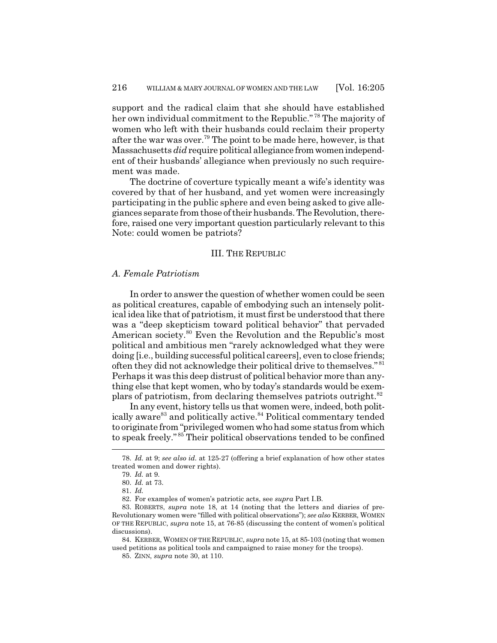support and the radical claim that she should have established her own individual commitment to the Republic." 78 The majority of women who left with their husbands could reclaim their property after the war was over.<sup>79</sup> The point to be made here, however, is that Massachusetts *did* require political allegiance from women independent of their husbands' allegiance when previously no such requirement was made.

The doctrine of coverture typically meant a wife's identity was covered by that of her husband, and yet women were increasingly participating in the public sphere and even being asked to give allegiances separate from those of their husbands. The Revolution, therefore, raised one very important question particularly relevant to this Note: could women be patriots?

#### III. THE REPUBLIC

#### *A. Female Patriotism*

In order to answer the question of whether women could be seen as political creatures, capable of embodying such an intensely political idea like that of patriotism, it must first be understood that there was a "deep skepticism toward political behavior" that pervaded American society.<sup>80</sup> Even the Revolution and the Republic's most political and ambitious men "rarely acknowledged what they were doing [i.e., building successful political careers], even to close friends; often they did not acknowledge their political drive to themselves." <sup>81</sup> Perhaps it was this deep distrust of political behavior more than anything else that kept women, who by today's standards would be exemplars of patriotism, from declaring themselves patriots outright.<sup>82</sup>

In any event, history tells us that women were, indeed, both politically aware<sup>83</sup> and politically active.<sup>84</sup> Political commentary tended to originate from "privileged women who had some status from which to speak freely." 85 Their political observations tended to be confined

82. For examples of women's patriotic acts, see *supra* Part I.B.

84. KERBER, WOMEN OF THE REPUBLIC, *supra* note 15, at 85-103 (noting that women used petitions as political tools and campaigned to raise money for the troops).

<sup>78.</sup> *Id.* at 9; *see also id.* at 125-27 (offering a brief explanation of how other states treated women and dower rights).

<sup>79.</sup> *Id.* at 9.

<sup>80.</sup> *Id.* at 73.

<sup>81.</sup> *Id.*

<sup>83.</sup> ROBERTS, *supra* note 18, at 14 (noting that the letters and diaries of pre-Revolutionary women were "filled with political observations"); *see also* KERBER, WOMEN OF THE REPUBLIC, *supra* note 15, at 76-85 (discussing the content of women's political discussions).

<sup>85.</sup> ZINN, *supra* note 30, at 110.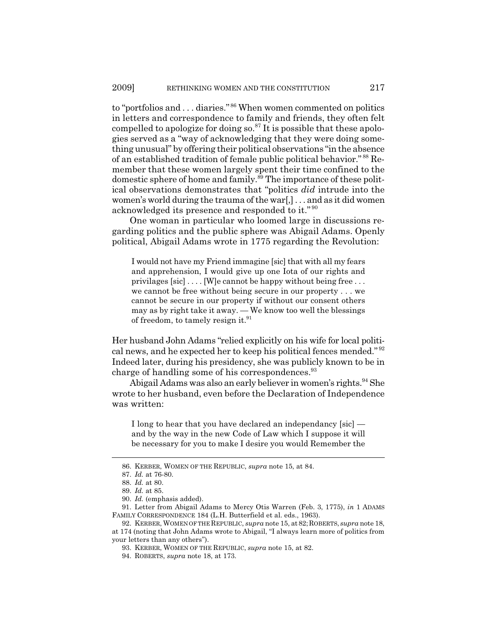to "portfolios and . . . diaries." 86 When women commented on politics in letters and correspondence to family and friends, they often felt compelled to apologize for doing so. ${}^{87}$  It is possible that these apologies served as a "way of acknowledging that they were doing something unusual" by offering their political observations "in the absence of an established tradition of female public political behavior." 88 Remember that these women largely spent their time confined to the domestic sphere of home and family.<sup>89</sup> The importance of these political observations demonstrates that "politics *did* intrude into the women's world during the trauma of the war[,] . . . and as it did women acknowledged its presence and responded to it." <sup>90</sup>

One woman in particular who loomed large in discussions regarding politics and the public sphere was Abigail Adams. Openly political, Abigail Adams wrote in 1775 regarding the Revolution:

I would not have my Friend immagine [sic] that with all my fears and apprehension, I would give up one Iota of our rights and privilages [sic] . . . . [W]e cannot be happy without being free . . . we cannot be free without being secure in our property . . . we cannot be secure in our property if without our consent others may as by right take it away. — We know too well the blessings of freedom, to tamely resign it.<sup>91</sup>

Her husband John Adams "relied explicitly on his wife for local political news, and he expected her to keep his political fences mended."<sup>92</sup> Indeed later, during his presidency, she was publicly known to be in charge of handling some of his correspondences.<sup>93</sup>

Abigail Adams was also an early believer in women's rights. <sup>94</sup> She wrote to her husband, even before the Declaration of Independence was written:

I long to hear that you have declared an independancy [sic] and by the way in the new Code of Law which I suppose it will be necessary for you to make I desire you would Remember the

<sup>86.</sup> KERBER, WOMEN OF THE REPUBLIC, *supra* note 15, at 84.

<sup>87.</sup> *Id.* at 76-80.

<sup>88.</sup> *Id.* at 80.

<sup>89.</sup> *Id.* at 85.

<sup>90.</sup> *Id.* (emphasis added).

<sup>91.</sup> Letter from Abigail Adams to Mercy Otis Warren (Feb. 3, 1775), *in* 1 ADAMS FAMILY CORRESPONDENCE 184 (L.H. Butterfield et al. eds., 1963).

<sup>92.</sup> KERBER, WOMEN OF THE REPUBLIC, *supra* note 15, at82;ROBERTS, *supra* note 18, at 174 (noting that John Adams wrote to Abigail, "I always learn more of politics from your letters than any others").

<sup>93.</sup> KERBER, WOMEN OF THE REPUBLIC, *supra* note 15, at 82.

<sup>94.</sup> ROBERTS, *supra* note 18, at 173.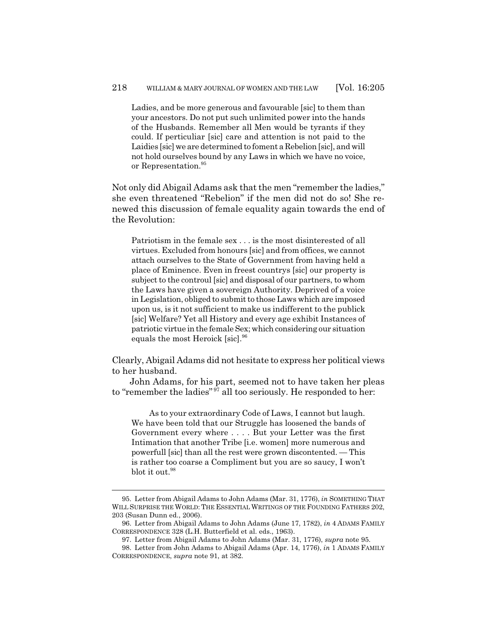Ladies, and be more generous and favourable [sic] to them than your ancestors. Do not put such unlimited power into the hands of the Husbands. Remember all Men would be tyrants if they could. If perticuliar [sic] care and attention is not paid to the Laidies [sic] we are determined to foment a Rebelion [sic], and will not hold ourselves bound by any Laws in which we have no voice, or Representation.<sup>95</sup>

Not only did Abigail Adams ask that the men "remember the ladies," she even threatened "Rebelion" if the men did not do so! She renewed this discussion of female equality again towards the end of the Revolution:

Patriotism in the female sex . . . is the most disinterested of all virtues. Excluded from honours [sic] and from offices, we cannot attach ourselves to the State of Government from having held a place of Eminence. Even in freest countrys [sic] our property is subject to the controul [sic] and disposal of our partners, to whom the Laws have given a sovereign Authority. Deprived of a voice in Legislation, obliged to submit to those Laws which are imposed upon us, is it not sufficient to make us indifferent to the publick [sic] Welfare? Yet all History and every age exhibit Instances of patriotic virtue in the female Sex; which considering our situation equals the most Heroick [sic].<sup>96</sup>

Clearly, Abigail Adams did not hesitate to express her political views to her husband.

John Adams, for his part, seemed not to have taken her pleas to "remember the ladies"<sup>97</sup> all too seriously. He responded to her:

As to your extraordinary Code of Laws, I cannot but laugh. We have been told that our Struggle has loosened the bands of Government every where . . . . But your Letter was the first Intimation that another Tribe [i.e. women] more numerous and powerfull [sic] than all the rest were grown discontented. — This is rather too coarse a Compliment but you are so saucy, I won't blot it out.<sup>98</sup>

<sup>95.</sup> Letter from Abigail Adams to John Adams (Mar. 31, 1776), *in* SOMETHING THAT WILL SURPRISE THE WORLD: THE ESSENTIAL WRITINGS OF THE FOUNDING FATHERS 202, 203 (Susan Dunn ed., 2006).

<sup>96.</sup> Letter from Abigail Adams to John Adams (June 17, 1782), *in* 4 ADAMS FAMILY CORRESPONDENCE 328 (L.H. Butterfield et al. eds., 1963).

<sup>97.</sup> Letter from Abigail Adams to John Adams (Mar. 31, 1776), *supra* note 95.

<sup>98.</sup> Letter from John Adams to Abigail Adams (Apr. 14, 1776), *in* 1 ADAMS FAMILY CORRESPONDENCE, *supra* note 91, at 382.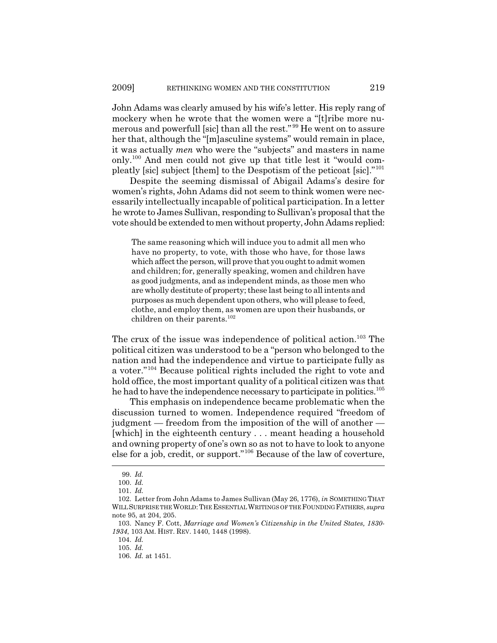John Adams was clearly amused by his wife's letter. His reply rang of mockery when he wrote that the women were a "[t]ribe more numerous and powerfull [sic] than all the rest." 99 He went on to assure her that, although the "[m]asculine systems" would remain in place, it was actually *men* who were the "subjects" and masters in name only.100 And men could not give up that title lest it "would compleatly [sic] subject [them] to the Despotism of the peticoat [sic]."<sup>101</sup>

Despite the seeming dismissal of Abigail Adams's desire for women's rights, John Adams did not seem to think women were necessarily intellectually incapable of political participation. In a letter he wrote to James Sullivan, responding to Sullivan's proposal that the vote should be extended to men without property, John Adams replied:

The same reasoning which will induce you to admit all men who have no property, to vote, with those who have, for those laws which affect the person, will prove that you ought to admit women and children; for, generally speaking, women and children have as good judgments, and as independent minds, as those men who are wholly destitute of property; these last being to all intents and purposes as much dependent upon others, who will please to feed, clothe, and employ them, as women are upon their husbands, or children on their parents.<sup>102</sup>

The crux of the issue was independence of political action.<sup>103</sup> The political citizen was understood to be a "person who belonged to the nation and had the independence and virtue to participate fully as a voter."104 Because political rights included the right to vote and hold office, the most important quality of a political citizen was that he had to have the independence necessary to participate in politics.<sup>105</sup>

This emphasis on independence became problematic when the discussion turned to women. Independence required "freedom of judgment — freedom from the imposition of the will of another — [which] in the eighteenth century . . . meant heading a household and owning property of one's own so as not to have to look to anyone else for a job, credit, or support."106 Because of the law of coverture,

104. *Id.*

<sup>99.</sup> *Id.*

<sup>100.</sup> *Id.*

<sup>101.</sup> *Id.*

<sup>102.</sup> Letter from John Adams to James Sullivan (May 26, 1776), *in* SOMETHING THAT WILL SURPRISE THE WORLD:THE ESSENTIAL WRITINGS OF THE FOUNDING FATHERS, *supra* note 95, at 204, 205.

<sup>103.</sup> Nancy F. Cott, *Marriage and Women's Citizenship in the United States, 1830- 1934*, 103 AM. HIST. REV. 1440, 1448 (1998).

<sup>105.</sup> *Id.*

<sup>106.</sup> *Id.* at 1451.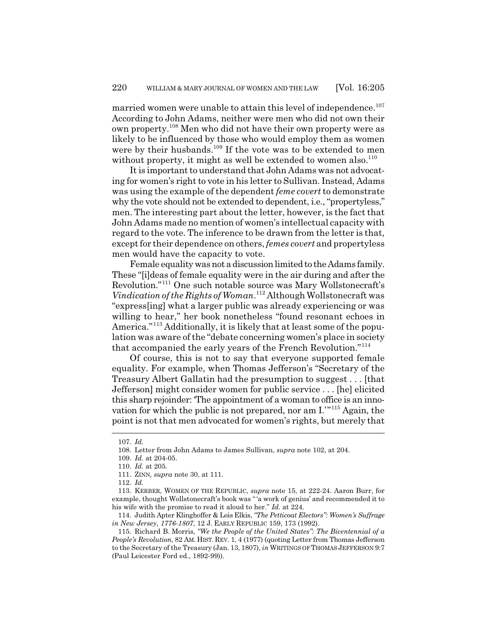married women were unable to attain this level of independence.<sup>107</sup> According to John Adams, neither were men who did not own their own property.108 Men who did not have their own property were as likely to be influenced by those who would employ them as women were by their husbands.<sup>109</sup> If the vote was to be extended to men without property, it might as well be extended to women also. $110$ 

It is important to understand that John Adams was not advocating for women's right to vote in his letter to Sullivan. Instead, Adams was using the example of the dependent *feme covert* to demonstrate why the vote should not be extended to dependent, i.e., "propertyless," men. The interesting part about the letter, however, is the fact that John Adams made no mention of women's intellectual capacity with regard to the vote. The inference to be drawn from the letter is that, except for their dependence on others, *femes covert* and propertyless men would have the capacity to vote.

Female equality was not a discussion limited to the Adams family. These "[i]deas of female equality were in the air during and after the Revolution."111 One such notable source was Mary Wollstonecraft's *Vindication of the Rights of Woman*. 112 Although Wollstonecraft was "express[ing] what a larger public was already experiencing or was willing to hear," her book nonetheless "found resonant echoes in America."<sup>113</sup> Additionally, it is likely that at least some of the population was aware of the "debate concerning women's place in society that accompanied the early years of the French Revolution."<sup>114</sup>

Of course, this is not to say that everyone supported female equality. For example, when Thomas Jefferson's "Secretary of the Treasury Albert Gallatin had the presumption to suggest . . . [that Jefferson] might consider women for public service . . . [he] elicited this sharp rejoinder: 'The appointment of a woman to office is an innovation for which the public is not prepared, nor am I.'"115 Again, the point is not that men advocated for women's rights, but merely that

<sup>107.</sup> *Id.*

<sup>108.</sup> Letter from John Adams to James Sullivan, *supra* note 102, at 204.

<sup>109.</sup> *Id.* at 204-05.

<sup>110.</sup> *Id.* at 205.

<sup>111.</sup> ZINN, *supra* note 30, at 111.

<sup>112.</sup> *Id.*

<sup>113.</sup> KERBER, WOMEN OF THE REPUBLIC, *supra* note 15, at 222-24. Aaron Burr, for example, thought Wollstonecraft's book was " 'a work of genius' and recommended it to his wife with the promise to read it aloud to her." *Id.* at 224.

<sup>114.</sup> Judith Apter Klinghoffer & Lois Elkis, *"The Petticoat Electors": Women's Suffrage in New Jersey, 1776-1807*, 12 J. EARLY REPUBLIC 159, 173 (1992).

<sup>115.</sup> Richard B. Morris, *"We the People of the United States": The Bicentennial of a People's Revolution*, 82 AM. HIST. REV. 1, 4 (1977) (quoting Letter from Thomas Jefferson to the Secretary of the Treasury (Jan. 13, 1807), *in* WRITINGS OF THOMAS JEFFERSON 9:7 (Paul Leicester Ford ed., 1892-99)).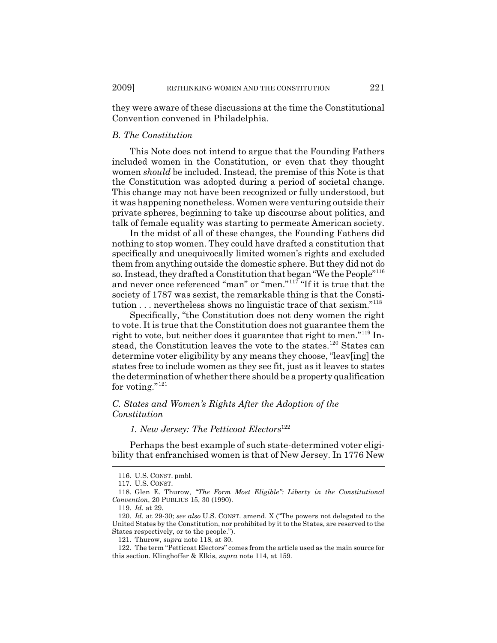they were aware of these discussions at the time the Constitutional Convention convened in Philadelphia.

#### *B. The Constitution*

This Note does not intend to argue that the Founding Fathers included women in the Constitution, or even that they thought women *should* be included. Instead, the premise of this Note is that the Constitution was adopted during a period of societal change. This change may not have been recognized or fully understood, but it was happening nonetheless. Women were venturing outside their private spheres, beginning to take up discourse about politics, and talk of female equality was starting to permeate American society.

In the midst of all of these changes, the Founding Fathers did nothing to stop women. They could have drafted a constitution that specifically and unequivocally limited women's rights and excluded them from anything outside the domestic sphere. But they did not do so. Instead, they drafted a Constitution that began "We the People"<sup>116</sup> and never once referenced "man" or "men."<sup>117</sup> "If it is true that the society of 1787 was sexist, the remarkable thing is that the Constitution . . . nevertheless shows no linguistic trace of that sexism."<sup>118</sup>

Specifically, "the Constitution does not deny women the right to vote. It is true that the Constitution does not guarantee them the right to vote, but neither does it guarantee that right to men."119 Instead, the Constitution leaves the vote to the states.<sup>120</sup> States can determine voter eligibility by any means they choose, "leav[ing] the states free to include women as they see fit, just as it leaves to states the determination of whether there should be a property qualification for voting." $121$ 

# *C. States and Women's Rights After the Adoption of the Constitution*

*1. New Jersey: The Petticoat Electors*<sup>122</sup>

Perhaps the best example of such state-determined voter eligibility that enfranchised women is that of New Jersey. In 1776 New

<sup>116.</sup> U.S. CONST. pmbl.

<sup>117.</sup> U.S. CONST.

<sup>118.</sup> Glen E. Thurow, *"The Form Most Eligible": Liberty in the Constitutional Convention*, 20 PUBLIUS 15, 30 (1990).

<sup>119.</sup> *Id.* at 29.

<sup>120.</sup> *Id.* at 29-30; *see also* U.S. CONST. amend. X ("The powers not delegated to the United States by the Constitution, nor prohibited by it to the States, are reserved to the States respectively, or to the people.").

<sup>121.</sup> Thurow, *supra* note 118, at 30.

<sup>122.</sup> The term "Petticoat Electors" comes from the article used as the main source for this section. Klinghoffer & Elkis, *supra* note 114, at 159.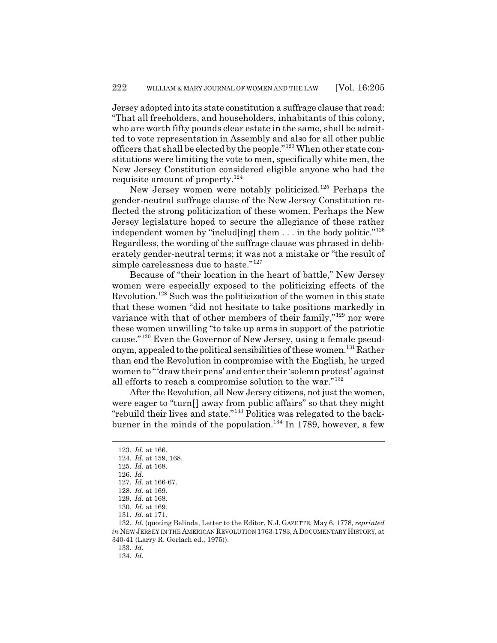Jersey adopted into its state constitution a suffrage clause that read: "That all freeholders, and householders, inhabitants of this colony, who are worth fifty pounds clear estate in the same, shall be admitted to vote representation in Assembly and also for all other public officers that shall be elected by the people."123 When other state constitutions were limiting the vote to men, specifically white men, the New Jersey Constitution considered eligible anyone who had the requisite amount of property. $124$ 

New Jersey women were notably politicized.125 Perhaps the gender-neutral suffrage clause of the New Jersey Constitution reflected the strong politicization of these women. Perhaps the New Jersey legislature hoped to secure the allegiance of these rather independent women by "includ[ing] them . . . in the body politic."<sup>126</sup> Regardless, the wording of the suffrage clause was phrased in deliberately gender-neutral terms; it was not a mistake or "the result of simple carelessness due to haste."<sup>127</sup>

Because of "their location in the heart of battle," New Jersey women were especially exposed to the politicizing effects of the Revolution.128 Such was the politicization of the women in this state that these women "did not hesitate to take positions markedly in variance with that of other members of their family,"<sup>129</sup> nor were these women unwilling "to take up arms in support of the patriotic cause."130 Even the Governor of New Jersey, using a female pseudonym, appealed to the political sensibilities of these women.131 Rather than end the Revolution in compromise with the English, he urged women to "'draw their pens' and enter their 'solemn protest' against all efforts to reach a compromise solution to the war."<sup>132</sup>

After the Revolution, all New Jersey citizens, not just the women, were eager to "turn[] away from public affairs" so that they might "rebuild their lives and state."133 Politics was relegated to the backburner in the minds of the population.<sup>134</sup> In 1789, however, a few

133. *Id.*

134. *Id.*

<sup>123.</sup> *Id.* at 166.

<sup>124.</sup> *Id.* at 159, 168.

<sup>125.</sup> *Id.* at 168.

<sup>126.</sup> *Id.*

<sup>127.</sup> *Id.* at 166-67.

<sup>128.</sup> *Id.* at 169.

<sup>129.</sup> *Id.* at 168.

<sup>130.</sup> *Id.* at 169.

<sup>131.</sup> *Id.* at 171.

<sup>132.</sup> *Id.* (quoting Belinda, Letter to the Editor, N.J. GAZETTE, May 6, 1778, *reprinted in* NEW JERSEY IN THE AMERICAN REVOLUTION 1763-1783, ADOCUMENTARY HISTORY, at 340-41 (Larry R. Gerlach ed., 1975)).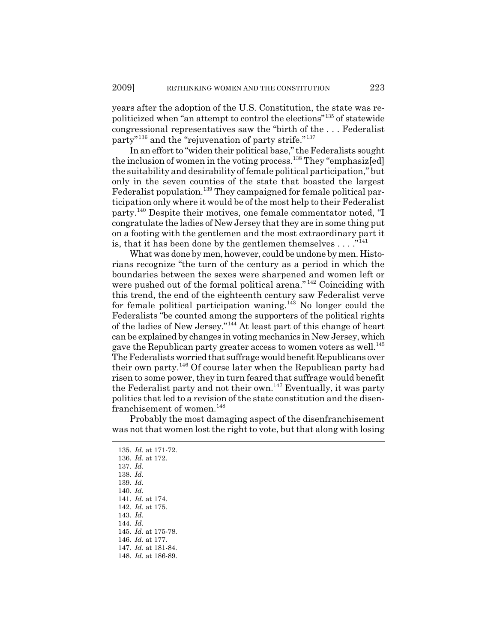years after the adoption of the U.S. Constitution, the state was repoliticized when "an attempt to control the elections"135 of statewide congressional representatives saw the "birth of the . . . Federalist party"136 and the "rejuvenation of party strife."137

In an effort to "widen their political base," the Federalists sought the inclusion of women in the voting process.<sup>138</sup> They "emphasized] the suitability and desirability of female political participation," but only in the seven counties of the state that boasted the largest Federalist population.<sup>139</sup> They campaigned for female political participation only where it would be of the most help to their Federalist party.140 Despite their motives, one female commentator noted, "I congratulate the ladies of New Jersey that they are in some thing put on a footing with the gentlemen and the most extraordinary part it is, that it has been done by the gentlemen themselves  $\dots$ ."<sup>141</sup>

What was done by men, however, could be undone by men. Historians recognize "the turn of the century as a period in which the boundaries between the sexes were sharpened and women left or were pushed out of the formal political arena." 142 Coinciding with this trend, the end of the eighteenth century saw Federalist verve for female political participation waning.<sup>143</sup> No longer could the Federalists "be counted among the supporters of the political rights of the ladies of New Jersey."144 At least part of this change of heart can be explained by changes in voting mechanics in New Jersey, which gave the Republican party greater access to women voters as well.<sup>145</sup> The Federalists worried that suffrage would benefit Republicans over their own party.146 Of course later when the Republican party had risen to some power, they in turn feared that suffrage would benefit the Federalist party and not their own.<sup>147</sup> Eventually, it was party politics that led to a revision of the state constitution and the disenfranchisement of women.<sup>148</sup>

Probably the most damaging aspect of the disenfranchisement was not that women lost the right to vote, but that along with losing

135. *Id.* at 171-72. 136. *Id.* at 172. 137. *Id.* 138. *Id.* 139. *Id.* 140. *Id.* 141. *Id.* at 174. 142. *Id.* at 175. 143. *Id.* 144. *Id.* 145. *Id.* at 175-78. 146. *Id.* at 177. 147. *Id.* at 181-84. 148. *Id.* at 186-89.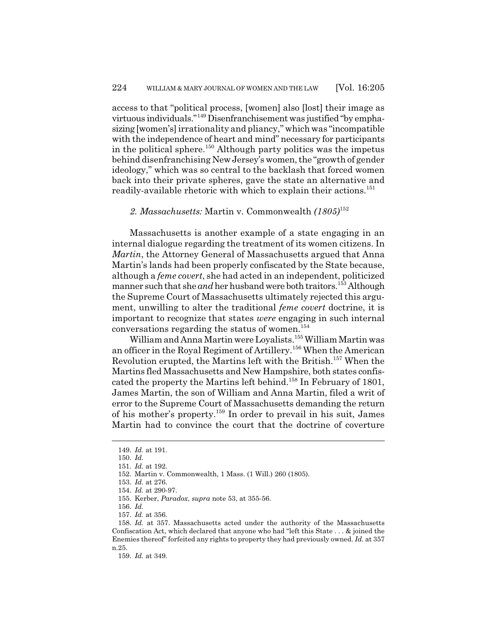access to that "political process, [women] also [lost] their image as virtuous individuals."149 Disenfranchisement was justified "by emphasizing [women's] irrationality and pliancy," which was "incompatible with the independence of heart and mind" necessary for participants in the political sphere.<sup>150</sup> Although party politics was the impetus behind disenfranchising New Jersey's women, the "growth of gender ideology," which was so central to the backlash that forced women back into their private spheres, gave the state an alternative and readily-available rhetoric with which to explain their actions.<sup>151</sup>

# *2. Massachusetts:* Martin v. Commonwealth *(1805)*<sup>152</sup>

Massachusetts is another example of a state engaging in an internal dialogue regarding the treatment of its women citizens. In *Martin*, the Attorney General of Massachusetts argued that Anna Martin's lands had been properly confiscated by the State because, although a *feme covert*, she had acted in an independent, politicized manner such that she *and* her husband were both traitors.<sup>153</sup> Although the Supreme Court of Massachusetts ultimately rejected this argument, unwilling to alter the traditional *feme covert* doctrine, it is important to recognize that states *were* engaging in such internal conversations regarding the status of women.154

William and Anna Martin were Loyalists.<sup>155</sup> William Martin was an officer in the Royal Regiment of Artillery.156 When the American Revolution erupted, the Martins left with the British.157 When the Martins fled Massachusetts and New Hampshire, both states confiscated the property the Martins left behind.<sup>158</sup> In February of 1801, James Martin, the son of William and Anna Martin, filed a writ of error to the Supreme Court of Massachusetts demanding the return of his mother's property.159 In order to prevail in his suit, James Martin had to convince the court that the doctrine of coverture

159. *Id.* at 349.

<sup>149.</sup> *Id.* at 191.

<sup>150.</sup> *Id.*

<sup>151.</sup> *Id.* at 192.

<sup>152.</sup> Martin v. Commonwealth, 1 Mass. (1 Will.) 260 (1805).

<sup>153.</sup> *Id.* at 276.

<sup>154.</sup> *Id.* at 290-97.

<sup>155.</sup> Kerber, *Paradox*, *supra* note 53, at 355-56.

<sup>156.</sup> *Id.*

<sup>157.</sup> *Id.* at 356.

<sup>158.</sup> *Id.* at 357. Massachusetts acted under the authority of the Massachusetts Confiscation Act, which declared that anyone who had "left this State . . . & joined the Enemies thereof" forfeited any rights to property they had previously owned. *Id.* at 357 n.25.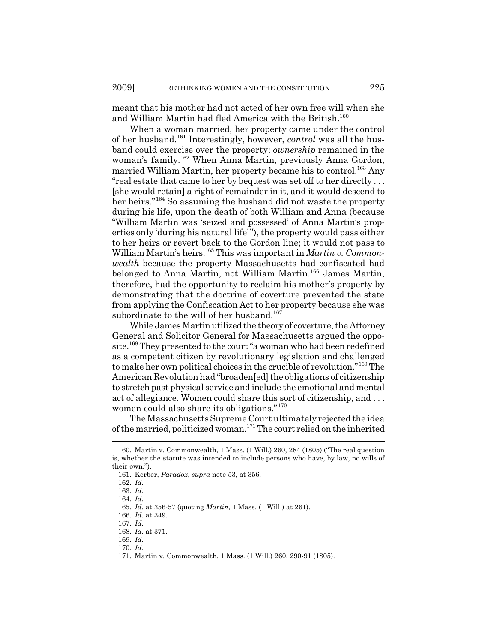meant that his mother had not acted of her own free will when she and William Martin had fled America with the British.<sup>160</sup>

When a woman married, her property came under the control of her husband.161 Interestingly, however, *control* was all the husband could exercise over the property; *ownership* remained in the woman's family.162 When Anna Martin, previously Anna Gordon, married William Martin, her property became his to control.<sup>163</sup> Any "real estate that came to her by bequest was set off to her directly . . . [she would retain] a right of remainder in it, and it would descend to her heirs."<sup>164</sup> So assuming the husband did not waste the property during his life, upon the death of both William and Anna (because "William Martin was 'seized and possessed' of Anna Martin's properties only 'during his natural life'"), the property would pass either to her heirs or revert back to the Gordon line; it would not pass to William Martin's heirs.165 This was important in *Martin v. Commonwealth* because the property Massachusetts had confiscated had belonged to Anna Martin, not William Martin.<sup>166</sup> James Martin, therefore, had the opportunity to reclaim his mother's property by demonstrating that the doctrine of coverture prevented the state from applying the Confiscation Act to her property because she was subordinate to the will of her husband.<sup>167</sup>

While James Martin utilized the theory of coverture, the Attorney General and Solicitor General for Massachusetts argued the opposite.<sup>168</sup> They presented to the court "a woman who had been redefined as a competent citizen by revolutionary legislation and challenged to make her own political choices in the crucible of revolution."169 The American Revolution had "broaden[ed] the obligations of citizenship to stretch past physical service and include the emotional and mental act of allegiance. Women could share this sort of citizenship, and . . . women could also share its obligations."<sup>170</sup>

The Massachusetts Supreme Court ultimately rejected the idea of the married, politicized woman.171 The court relied on the inherited

<sup>160.</sup> Martin v. Commonwealth, 1 Mass. (1 Will.) 260, 284 (1805) ("The real question is, whether the statute was intended to include persons who have, by law, no wills of their own.").

<sup>161.</sup> Kerber, *Paradox*, *supra* note 53, at 356.

<sup>162.</sup> *Id.*

<sup>163.</sup> *Id.*

<sup>164.</sup> *Id.*

<sup>165.</sup> *Id.* at 356-57 (quoting *Martin*, 1 Mass. (1 Will.) at 261).

<sup>166.</sup> *Id.* at 349.

<sup>167.</sup> *Id.*

<sup>168.</sup> *Id.* at 371.

<sup>169.</sup> *Id.*

<sup>170.</sup> *Id.*

<sup>171.</sup> Martin v. Commonwealth, 1 Mass. (1 Will.) 260, 290-91 (1805).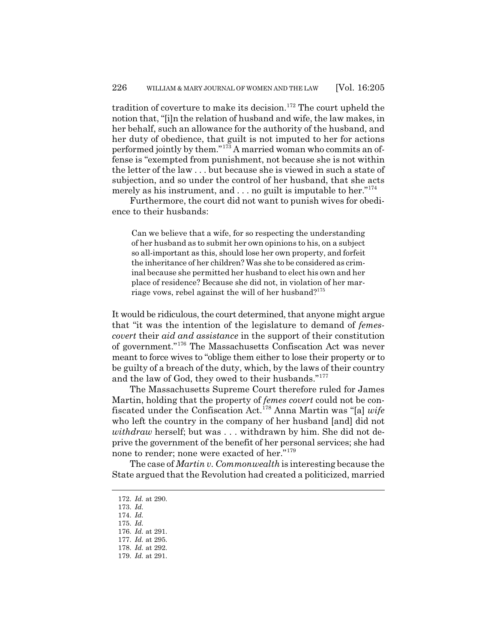tradition of coverture to make its decision.<sup>172</sup> The court upheld the notion that, "[i]n the relation of husband and wife, the law makes, in her behalf, such an allowance for the authority of the husband, and her duty of obedience, that guilt is not imputed to her for actions performed jointly by them."173 A married woman who commits an offense is "exempted from punishment, not because she is not within the letter of the law . . . but because she is viewed in such a state of subjection, and so under the control of her husband, that she acts merely as his instrument, and  $\ldots$  no guilt is imputable to her."<sup>174</sup>

Furthermore, the court did not want to punish wives for obedience to their husbands:

Can we believe that a wife, for so respecting the understanding of her husband as to submit her own opinions to his, on a subject so all-important as this, should lose her own property, and forfeit the inheritance of her children? Was she to be considered as criminal because she permitted her husband to elect his own and her place of residence? Because she did not, in violation of her marriage vows, rebel against the will of her husband?<sup>175</sup>

It would be ridiculous, the court determined, that anyone might argue that "it was the intention of the legislature to demand of *femescovert* their *aid and assistance* in the support of their constitution of government."176 The Massachusetts Confiscation Act was never meant to force wives to "oblige them either to lose their property or to be guilty of a breach of the duty, which, by the laws of their country and the law of God, they owed to their husbands."<sup>177</sup>

The Massachusetts Supreme Court therefore ruled for James Martin, holding that the property of *femes covert* could not be confiscated under the Confiscation Act.178 Anna Martin was "[a] *wife* who left the country in the company of her husband [and] did not *withdraw* herself; but was . . . withdrawn by him. She did not deprive the government of the benefit of her personal services; she had none to render; none were exacted of her."<sup>179</sup>

The case of *Martin v. Commonwealth* is interesting because the State argued that the Revolution had created a politicized, married

<sup>172.</sup> *Id.* at 290.

<sup>173.</sup> *Id.* 174. *Id.*

<sup>175.</sup> *Id.*

<sup>176.</sup> *Id.* at 291.

<sup>177.</sup> *Id.* at 295.

<sup>178.</sup> *Id.* at 292.

<sup>179.</sup> *Id.* at 291.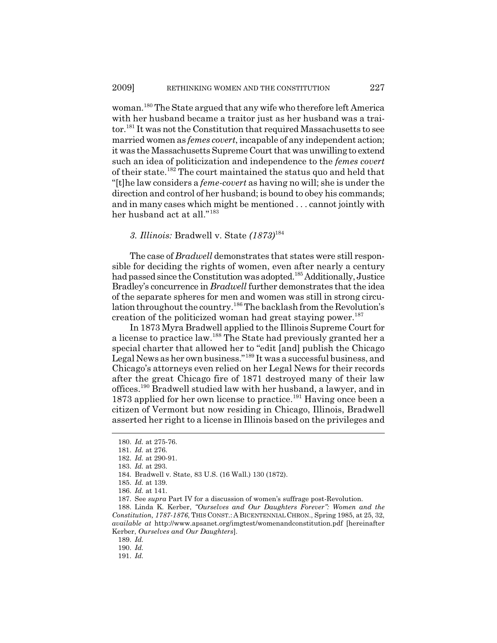woman.<sup>180</sup> The State argued that any wife who therefore left America with her husband became a traitor just as her husband was a traitor.<sup>181</sup> It was not the Constitution that required Massachusetts to see married women as *femes covert*, incapable of any independent action; it was the Massachusetts Supreme Court that was unwilling to extend such an idea of politicization and independence to the *femes covert* of their state.182 The court maintained the status quo and held that "[t]he law considers a *feme-covert* as having no will; she is under the direction and control of her husband; is bound to obey his commands; and in many cases which might be mentioned . . . cannot jointly with her husband act at all."<sup>183</sup>

#### *3. Illinois:* Bradwell v. State *(1873)*<sup>184</sup>

The case of *Bradwell* demonstrates that states were still responsible for deciding the rights of women, even after nearly a century had passed since the Constitution was adopted.<sup>185</sup> Additionally, Justice Bradley's concurrence in *Bradwell* further demonstrates that the idea of the separate spheres for men and women was still in strong circulation throughout the country.<sup>186</sup> The backlash from the Revolution's creation of the politicized woman had great staying power.<sup>187</sup>

In 1873 Myra Bradwell applied to the Illinois Supreme Court for a license to practice law.188 The State had previously granted her a special charter that allowed her to "edit [and] publish the Chicago Legal News as her own business."189 It was a successful business, and Chicago's attorneys even relied on her Legal News for their records after the great Chicago fire of 1871 destroyed many of their law offices.190 Bradwell studied law with her husband, a lawyer, and in 1873 applied for her own license to practice.191 Having once been a citizen of Vermont but now residing in Chicago, Illinois, Bradwell asserted her right to a license in Illinois based on the privileges and

189. *Id.*

<sup>180.</sup> *Id.* at 275-76.

<sup>181.</sup> *Id.* at 276.

<sup>182.</sup> *Id.* at 290-91.

<sup>183.</sup> *Id.* at 293.

<sup>184.</sup> Bradwell v. State, 83 U.S. (16 Wall.) 130 (1872).

<sup>185.</sup> *Id.* at 139.

<sup>186.</sup> *Id.* at 141.

<sup>187.</sup> See *supra* Part IV for a discussion of women's suffrage post-Revolution.

<sup>188.</sup> Linda K. Kerber, *"Ourselves and Our Daughters Forever": Women and the Constitution, 1787-1876*, THIS CONST.: A BICENTENNIAL CHRON., Spring 1985, at 25, 32, *available at* http://www.apsanet.org/imgtest/womenandconstitution.pdf [hereinafter Kerber, *Ourselves and Our Daughters*].

<sup>190.</sup> *Id.*

<sup>191.</sup> *Id.*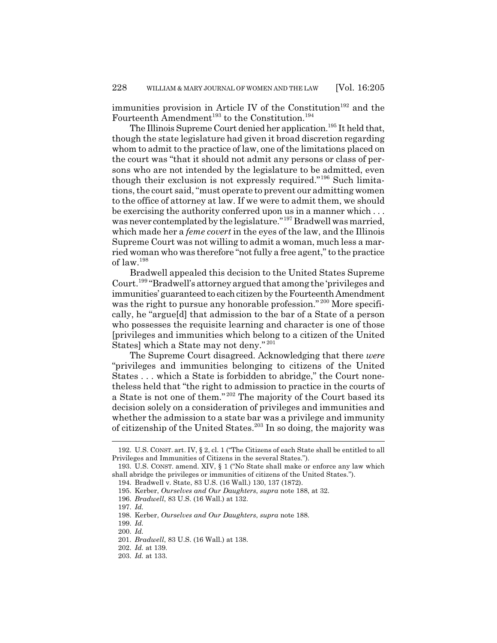immunities provision in Article IV of the Constitution<sup>192</sup> and the Fourteenth Amendment<sup>193</sup> to the Constitution.<sup>194</sup>

The Illinois Supreme Court denied her application.<sup>195</sup> It held that, though the state legislature had given it broad discretion regarding whom to admit to the practice of law, one of the limitations placed on the court was "that it should not admit any persons or class of persons who are not intended by the legislature to be admitted, even though their exclusion is not expressly required."196 Such limitations, the court said, "must operate to prevent our admitting women to the office of attorney at law. If we were to admit them, we should be exercising the authority conferred upon us in a manner which . . . was never contemplated by the legislature."<sup>197</sup> Bradwell was married, which made her a *feme covert* in the eyes of the law, and the Illinois Supreme Court was not willing to admit a woman, much less a married woman who was therefore "not fully a free agent," to the practice of law.<sup>198</sup>

Bradwell appealed this decision to the United States Supreme Court.199 "Bradwell's attorney argued that among the 'privileges and immunities' guaranteed to each citizen by the Fourteenth Amendment was the right to pursue any honorable profession."<sup>200</sup> More specifically, he "argue[d] that admission to the bar of a State of a person who possesses the requisite learning and character is one of those [privileges and immunities which belong to a citizen of the United States] which a State may not deny." <sup>201</sup>

The Supreme Court disagreed. Acknowledging that there *were* "privileges and immunities belonging to citizens of the United States . . . which a State is forbidden to abridge," the Court nonetheless held that "the right to admission to practice in the courts of a State is not one of them." 202 The majority of the Court based its decision solely on a consideration of privileges and immunities and whether the admission to a state bar was a privilege and immunity of citizenship of the United States.<sup>203</sup> In so doing, the majority was

<sup>192.</sup> U.S. CONST. art. IV, § 2, cl. 1 ("The Citizens of each State shall be entitled to all Privileges and Immunities of Citizens in the several States.").

<sup>193.</sup> U.S. CONST. amend. XIV, § 1 ("No State shall make or enforce any law which shall abridge the privileges or immunities of citizens of the United States.").

<sup>194.</sup> Bradwell v. State, 83 U.S. (16 Wall.) 130, 137 (1872).

<sup>195.</sup> Kerber, *Ourselves and Our Daughters*, *supra* note 188, at 32.

<sup>196.</sup> *Bradwell*, 83 U.S. (16 Wall.) at 132.

<sup>197.</sup> *Id.*

<sup>198.</sup> Kerber, *Ourselves and Our Daughters*, *supra* note 188.

<sup>199.</sup> *Id.*

<sup>200.</sup> *Id.*

<sup>201.</sup> *Bradwell*, 83 U.S. (16 Wall.) at 138.

<sup>202.</sup> *Id.* at 139.

<sup>203.</sup> *Id.* at 133.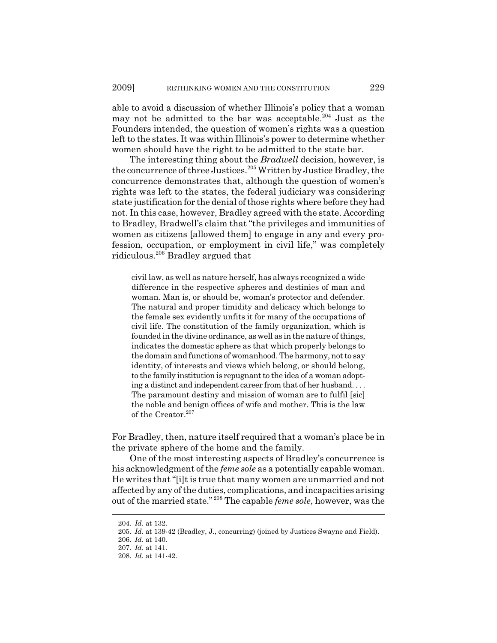able to avoid a discussion of whether Illinois's policy that a woman may not be admitted to the bar was acceptable.<sup>204</sup> Just as the Founders intended, the question of women's rights was a question left to the states. It was within Illinois's power to determine whether women should have the right to be admitted to the state bar.

The interesting thing about the *Bradwell* decision, however, is the concurrence of three Justices.<sup>205</sup> Written by Justice Bradley, the concurrence demonstrates that, although the question of women's rights was left to the states, the federal judiciary was considering state justification for the denial of those rights where before they had not. In this case, however, Bradley agreed with the state. According to Bradley, Bradwell's claim that "the privileges and immunities of women as citizens [allowed them] to engage in any and every profession, occupation, or employment in civil life," was completely ridiculous.206 Bradley argued that

civil law, as well as nature herself, has always recognized a wide difference in the respective spheres and destinies of man and woman. Man is, or should be, woman's protector and defender. The natural and proper timidity and delicacy which belongs to the female sex evidently unfits it for many of the occupations of civil life. The constitution of the family organization, which is founded in the divine ordinance, as well as in the nature of things, indicates the domestic sphere as that which properly belongs to the domain and functions of womanhood. The harmony, not to say identity, of interests and views which belong, or should belong, to the family institution is repugnant to the idea of a woman adopting a distinct and independent career from that of her husband. . . . The paramount destiny and mission of woman are to fulfil [sic] the noble and benign offices of wife and mother. This is the law of the Creator.<sup>207</sup>

For Bradley, then, nature itself required that a woman's place be in the private sphere of the home and the family.

One of the most interesting aspects of Bradley's concurrence is his acknowledgment of the *feme sole* as a potentially capable woman. He writes that "[i]t is true that many women are unmarried and not affected by any of the duties, complications, and incapacities arising out of the married state." 208 The capable *feme sole*, however, was the

<sup>204.</sup> *Id.* at 132.

<sup>205.</sup> *Id.* at 139-42 (Bradley, J., concurring) (joined by Justices Swayne and Field).

<sup>206.</sup> *Id.* at 140.

<sup>207.</sup> *Id.* at 141.

<sup>208.</sup> *Id.* at 141-42.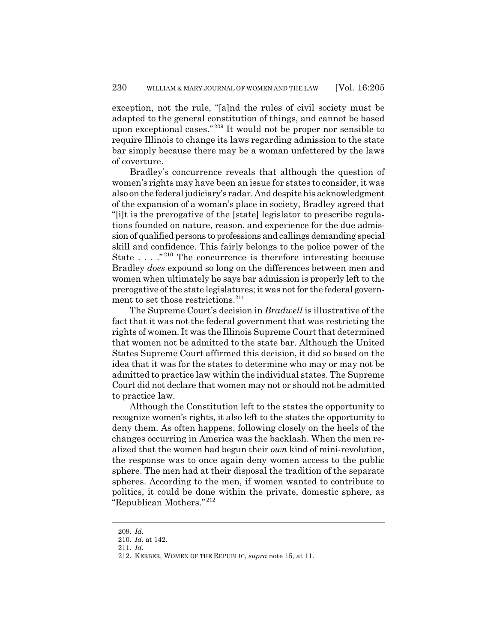exception, not the rule, "[a]nd the rules of civil society must be adapted to the general constitution of things, and cannot be based upon exceptional cases." 209 It would not be proper nor sensible to require Illinois to change its laws regarding admission to the state bar simply because there may be a woman unfettered by the laws of coverture.

Bradley's concurrence reveals that although the question of women's rights may have been an issue for states to consider, it was also on the federal judiciary's radar. And despite his acknowledgment of the expansion of a woman's place in society, Bradley agreed that "[i]t is the prerogative of the [state] legislator to prescribe regulations founded on nature, reason, and experience for the due admission of qualified persons to professions and callings demanding special skill and confidence. This fairly belongs to the police power of the State . . . ."<sup>210</sup> The concurrence is therefore interesting because Bradley *does* expound so long on the differences between men and women when ultimately he says bar admission is properly left to the prerogative of the state legislatures; it was not for the federal government to set those restrictions.<sup>211</sup>

The Supreme Court's decision in *Bradwell* is illustrative of the fact that it was not the federal government that was restricting the rights of women. It was the Illinois Supreme Court that determined that women not be admitted to the state bar. Although the United States Supreme Court affirmed this decision, it did so based on the idea that it was for the states to determine who may or may not be admitted to practice law within the individual states. The Supreme Court did not declare that women may not or should not be admitted to practice law.

Although the Constitution left to the states the opportunity to recognize women's rights, it also left to the states the opportunity to deny them. As often happens, following closely on the heels of the changes occurring in America was the backlash. When the men realized that the women had begun their *own* kind of mini-revolution, the response was to once again deny women access to the public sphere. The men had at their disposal the tradition of the separate spheres. According to the men, if women wanted to contribute to politics, it could be done within the private, domestic sphere, as "Republican Mothers." <sup>212</sup>

<sup>209.</sup> *Id.*

<sup>210.</sup> *Id.* at 142.

<sup>211.</sup> *Id.*

<sup>212.</sup> KERBER, WOMEN OF THE REPUBLIC, *supra* note 15, at 11.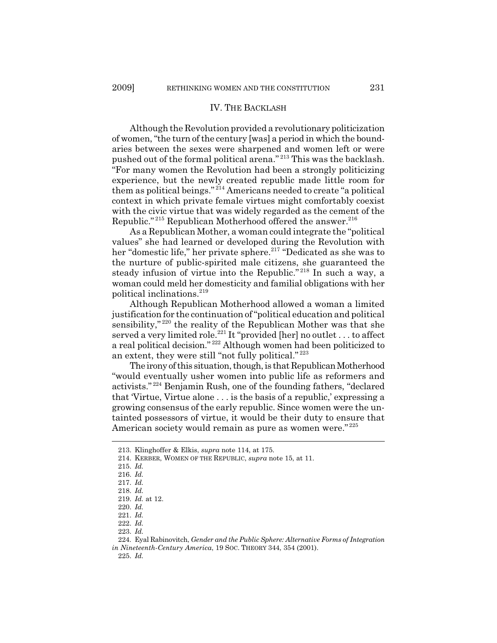#### IV. THE BACKLASH

Although the Revolution provided a revolutionary politicization of women, "the turn of the century [was] a period in which the boundaries between the sexes were sharpened and women left or were pushed out of the formal political arena." 213 This was the backlash. "For many women the Revolution had been a strongly politicizing experience, but the newly created republic made little room for them as political beings." 214 Americans needed to create "a political context in which private female virtues might comfortably coexist with the civic virtue that was widely regarded as the cement of the Republic."<sup>215</sup> Republican Motherhood offered the answer.<sup>216</sup>

As a Republican Mother, a woman could integrate the "political values" she had learned or developed during the Revolution with her "domestic life," her private sphere.<sup>217</sup> "Dedicated as she was to the nurture of public-spirited male citizens, she guaranteed the steady infusion of virtue into the Republic." 218 In such a way, a woman could meld her domesticity and familial obligations with her political inclinations.219

Although Republican Motherhood allowed a woman a limited justification for the continuation of "political education and political sensibility,"<sup>220</sup> the reality of the Republican Mother was that she served a very limited role.<sup>221</sup> It "provided [her] no outlet . . . to affect a real political decision." 222 Although women had been politicized to an extent, they were still "not fully political." <sup>223</sup>

The irony of this situation, though, is that Republican Motherhood "would eventually usher women into public life as reformers and activists." 224 Benjamin Rush, one of the founding fathers, "declared that 'Virtue, Virtue alone . . . is the basis of a republic,' expressing a growing consensus of the early republic. Since women were the untainted possessors of virtue, it would be their duty to ensure that American society would remain as pure as women were."<sup>225</sup>

<sup>213.</sup> Klinghoffer & Elkis, *supra* note 114, at 175.

<sup>214.</sup> KERBER, WOMEN OF THE REPUBLIC, *supra* note 15, at 11.

<sup>215.</sup> *Id.*

<sup>216.</sup> *Id.*

<sup>217.</sup> *Id.*

<sup>218.</sup> *Id.*

<sup>219.</sup> *Id.* at 12.

<sup>220.</sup> *Id.*

<sup>221.</sup> *Id.*

<sup>222.</sup> *Id.*

<sup>223.</sup> *Id.*

<sup>224.</sup> Eyal Rabinovitch, *Gender and the Public Sphere: Alternative Forms of Integration in Nineteenth-Century America*, 19 SOC. THEORY 344, 354 (2001).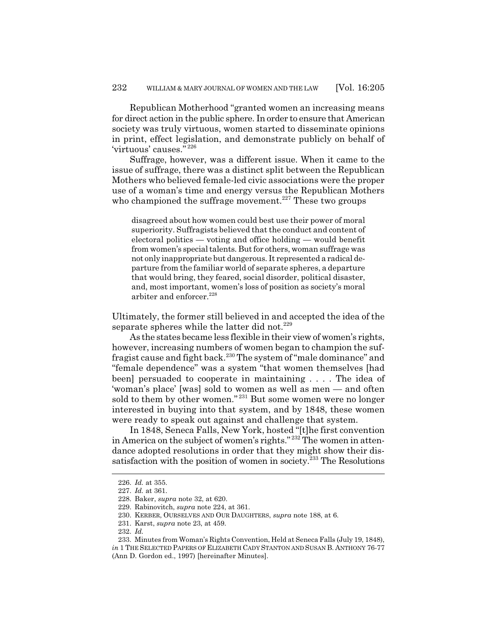Republican Motherhood "granted women an increasing means for direct action in the public sphere. In order to ensure that American society was truly virtuous, women started to disseminate opinions in print, effect legislation, and demonstrate publicly on behalf of 'virtuous' causes." <sup>226</sup>

Suffrage, however, was a different issue. When it came to the issue of suffrage, there was a distinct split between the Republican Mothers who believed female-led civic associations were the proper use of a woman's time and energy versus the Republican Mothers who championed the suffrage movement.<sup>227</sup> These two groups

disagreed about how women could best use their power of moral superiority. Suffragists believed that the conduct and content of electoral politics — voting and office holding — would benefit from women's special talents. But for others, woman suffrage was not only inappropriate but dangerous. It represented a radical departure from the familiar world of separate spheres, a departure that would bring, they feared, social disorder, political disaster, and, most important, women's loss of position as society's moral arbiter and enforcer.<sup>228</sup>

Ultimately, the former still believed in and accepted the idea of the separate spheres while the latter did not.<sup>229</sup>

As the states became less flexible in their view of women's rights, however, increasing numbers of women began to champion the suffragist cause and fight back.230 The system of "male dominance" and "female dependence" was a system "that women themselves [had been] persuaded to cooperate in maintaining . . . . The idea of 'woman's place' [was] sold to women as well as men — and often sold to them by other women."<sup>231</sup> But some women were no longer interested in buying into that system, and by 1848, these women were ready to speak out against and challenge that system.

In 1848, Seneca Falls, New York, hosted "[t]he first convention in America on the subject of women's rights." 232 The women in attendance adopted resolutions in order that they might show their dissatisfaction with the position of women in society.<sup>233</sup> The Resolutions

<sup>226.</sup> *Id.* at 355.

<sup>227.</sup> *Id.* at 361.

<sup>228.</sup> Baker, *supra* note 32, at 620.

<sup>229.</sup> Rabinovitch, *supra* note 224, at 361.

<sup>230.</sup> KERBER, OURSELVES AND OUR DAUGHTERS, *supra* note 188, at 6.

<sup>231.</sup> Karst, *supra* note 23, at 459.

<sup>232.</sup> *Id.*

<sup>233.</sup> Minutes from Woman's Rights Convention, Held at Seneca Falls (July 19, 1848), *in* 1 THE SELECTED PAPERS OF ELIZABETH CADY STANTON AND SUSAN B. ANTHONY 76-77 (Ann D. Gordon ed., 1997) [hereinafter Minutes].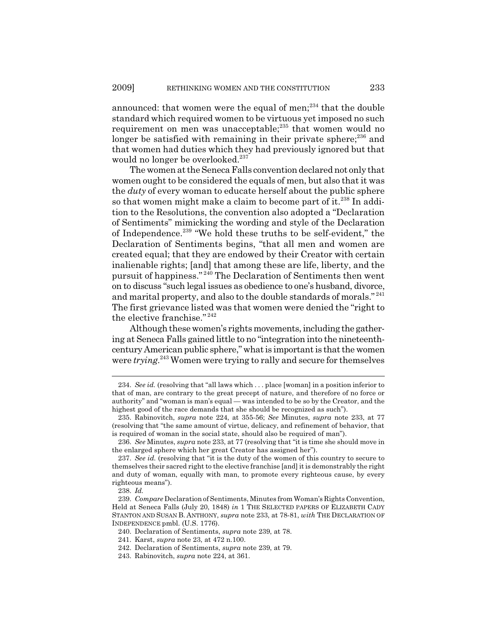announced: that women were the equal of men; $^{234}$  that the double standard which required women to be virtuous yet imposed no such requirement on men was unacceptable;<sup>235</sup> that women would no longer be satisfied with remaining in their private sphere; $^{236}$  and that women had duties which they had previously ignored but that would no longer be overlooked.<sup>237</sup>

The women at the Seneca Falls convention declared not only that women ought to be considered the equals of men, but also that it was the *duty* of every woman to educate herself about the public sphere so that women might make a claim to become part of it.<sup>238</sup> In addition to the Resolutions, the convention also adopted a "Declaration of Sentiments" mimicking the wording and style of the Declaration of Independence.239 "We hold these truths to be self-evident," the Declaration of Sentiments begins, "that all men and women are created equal; that they are endowed by their Creator with certain inalienable rights; [and] that among these are life, liberty, and the pursuit of happiness." 240 The Declaration of Sentiments then went on to discuss "such legal issues as obedience to one's husband, divorce, and marital property, and also to the double standards of morals."<sup>241</sup> The first grievance listed was that women were denied the "right to the elective franchise." 242

Although these women's rights movements, including the gathering at Seneca Falls gained little to no "integration into the nineteenthcentury American public sphere," what is important is that the women were *trying*. 243 Women were trying to rally and secure for themselves

<sup>234.</sup> *See id.* (resolving that "all laws which . . . place [woman] in a position inferior to that of man, are contrary to the great precept of nature, and therefore of no force or authority" and "woman is man's equal — was intended to be so by the Creator, and the highest good of the race demands that she should be recognized as such").

<sup>235.</sup> Rabinovitch, *supra* note 224, at 355-56; *See* Minutes, *supra* note 233, at 77 (resolving that "the same amount of virtue, delicacy, and refinement of behavior, that is required of woman in the social state, should also be required of man").

<sup>236.</sup> *See* Minutes, *supra* note 233, at 77 (resolving that "it is time she should move in the enlarged sphere which her great Creator has assigned her").

<sup>237.</sup> *See id.* (resolving that "it is the duty of the women of this country to secure to themselves their sacred right to the elective franchise [and] it is demonstrably the right and duty of woman, equally with man, to promote every righteous cause, by every righteous means").

<sup>238.</sup> *Id.*

<sup>239.</sup> *Compare* Declaration of Sentiments, Minutes from Woman's Rights Convention, Held at Seneca Falls (July 20, 1848) *in* 1 THE SELECTED PAPERS OF ELIZABETH CADY STANTON AND SUSAN B. ANTHONY, *supra* note 233, at 78-81, *with* THE DECLARATION OF INDEPENDENCE pmbl. (U.S. 1776).

<sup>240.</sup> Declaration of Sentiments, *supra* note 239, at 78.

<sup>241.</sup> Karst, *supra* note 23, at 472 n.100.

<sup>242.</sup> Declaration of Sentiments, *supra* note 239, at 79.

<sup>243.</sup> Rabinovitch, *supra* note 224, at 361.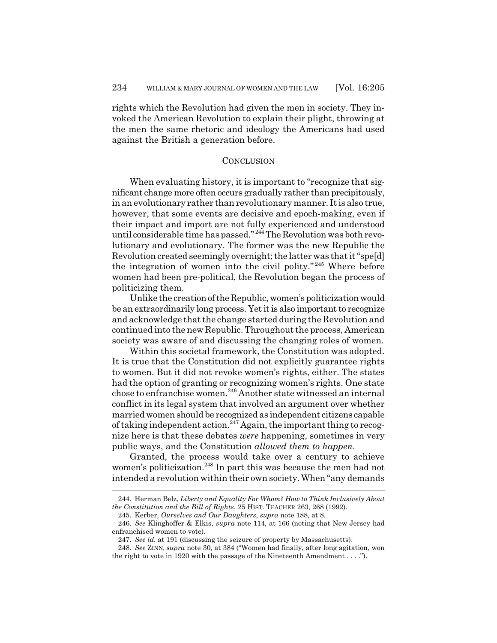rights which the Revolution had given the men in society. They invoked the American Revolution to explain their plight, throwing at the men the same rhetoric and ideology the Americans had used against the British a generation before.

#### **CONCLUSION**

When evaluating history, it is important to "recognize that significant change more often occurs gradually rather than precipitously, in an evolutionary rather than revolutionary manner. It is also true, however, that some events are decisive and epoch-making, even if their impact and import are not fully experienced and understood until considerable time has passed." 244 The Revolution was both revolutionary and evolutionary. The former was the new Republic the Revolution created seemingly overnight; the latter was that it "spe[d] the integration of women into the civil polity."<sup>245</sup> Where before women had been pre-political, the Revolution began the process of politicizing them.

Unlike the creation of the Republic, women's politicization would be an extraordinarily long process. Yet it is also important to recognize and acknowledge that the change started during the Revolution and continued into the new Republic. Throughout the process, American society was aware of and discussing the changing roles of women.

Within this societal framework, the Constitution was adopted. It is true that the Constitution did not explicitly guarantee rights to women. But it did not revoke women's rights, either. The states had the option of granting or recognizing women's rights. One state chose to enfranchise women.<sup>246</sup> Another state witnessed an internal conflict in its legal system that involved an argument over whether married women should be recognized as independent citizens capable of taking independent action.<sup>247</sup> Again, the important thing to recognize here is that these debates *were* happening, sometimes in very public ways, and the Constitution *allowed them to happen*.

Granted, the process would take over a century to achieve women's politicization.<sup>248</sup> In part this was because the men had not intended a revolution within their own society. When "any demands

<sup>244.</sup> Herman Belz, *Liberty and Equality For Whom? How to Think Inclusively About the Constitution and the Bill of Rights*, 25 HIST. TEACHER 263, 268 (1992).

<sup>245.</sup> Kerber, *Ourselves and Our Daughters*, *supra* note 188, at 8.

<sup>246.</sup> *See* Klinghoffer & Elkis, *supra* note 114, at 166 (noting that New Jersey had enfranchised women to vote).

<sup>247.</sup> *See id.* at 191 (discussing the seizure of property by Massachusetts).

<sup>248.</sup> *See* ZINN, *supra* note 30, at 384 ("Women had finally, after long agitation, won the right to vote in 1920 with the passage of the Nineteenth Amendment . . . .").